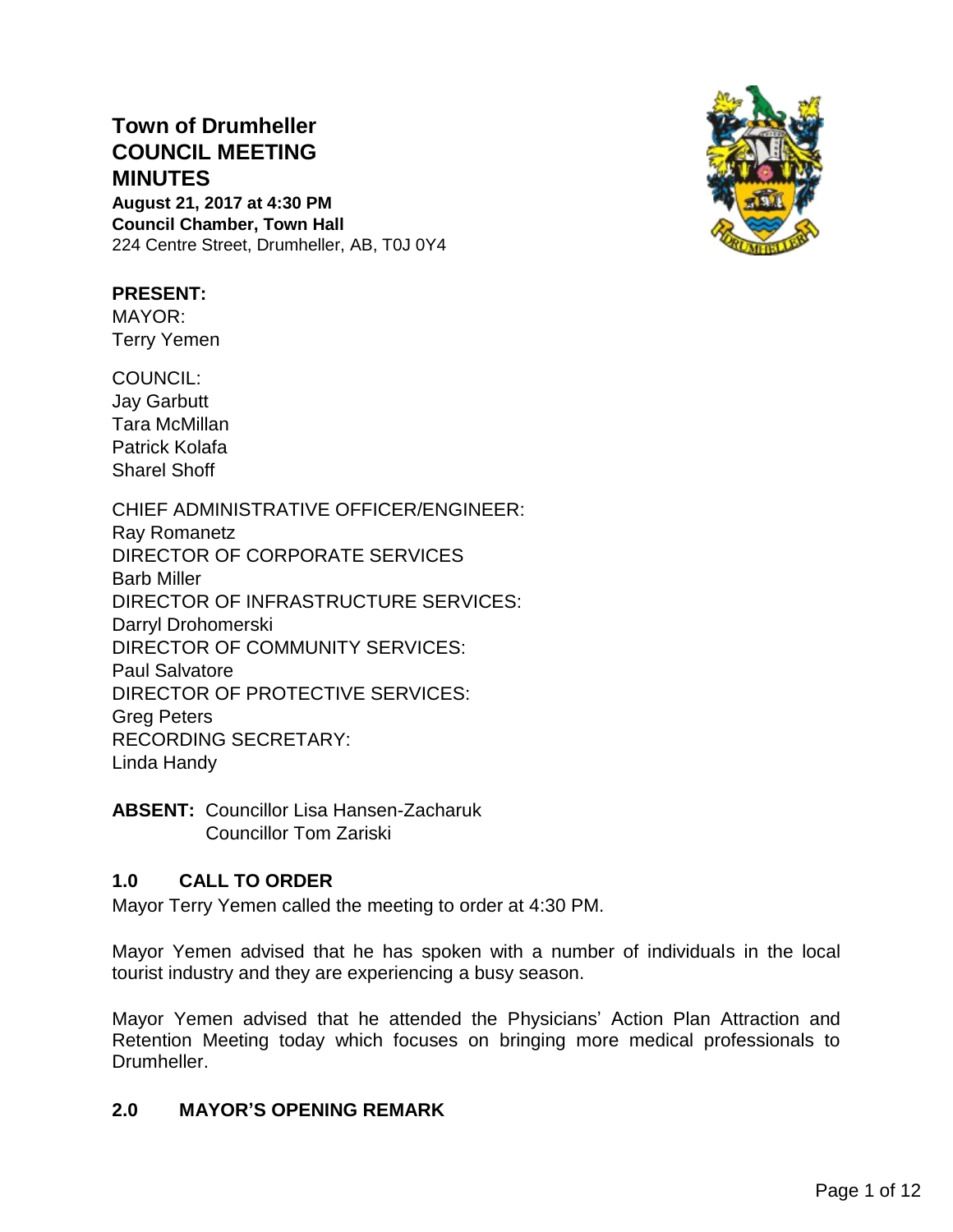# **Town of Drumheller COUNCIL MEETING MINUTES**

**August 21, 2017 at 4:30 PM Council Chamber, Town Hall** 224 Centre Street, Drumheller, AB, T0J 0Y4



### **PRESENT:**

MAYOR: Terry Yemen

COUNCIL: Jay Garbutt Tara McMillan Patrick Kolafa Sharel Shoff

CHIEF ADMINISTRATIVE OFFICER/ENGINEER: Ray Romanetz DIRECTOR OF CORPORATE SERVICES Barb Miller DIRECTOR OF INFRASTRUCTURE SERVICES: Darryl Drohomerski DIRECTOR OF COMMUNITY SERVICES: Paul Salvatore DIRECTOR OF PROTECTIVE SERVICES: Greg Peters RECORDING SECRETARY: Linda Handy

**ABSENT:** Councillor Lisa Hansen-Zacharuk Councillor Tom Zariski

# **1.0 CALL TO ORDER**

Mayor Terry Yemen called the meeting to order at 4:30 PM.

Mayor Yemen advised that he has spoken with a number of individuals in the local tourist industry and they are experiencing a busy season.

Mayor Yemen advised that he attended the Physicians' Action Plan Attraction and Retention Meeting today which focuses on bringing more medical professionals to Drumheller.

# **2.0 MAYOR'S OPENING REMARK**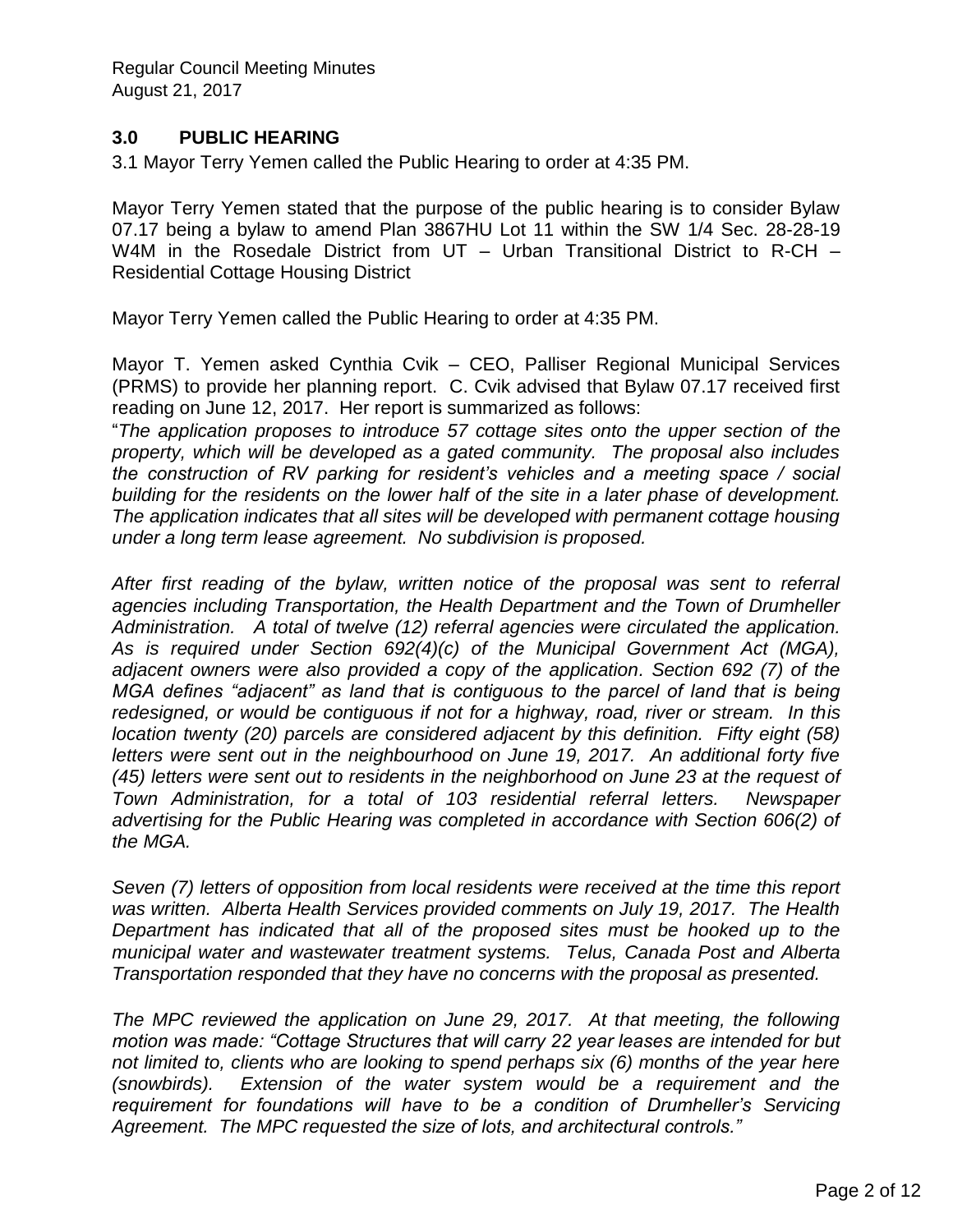## **3.0 PUBLIC HEARING**

3.1 Mayor Terry Yemen called the Public Hearing to order at 4:35 PM.

Mayor Terry Yemen stated that the purpose of the public hearing is to consider Bylaw 07.17 being a bylaw to amend Plan 3867HU Lot 11 within the SW 1/4 Sec. 28-28-19 W4M in the Rosedale District from UT – Urban Transitional District to R-CH – Residential Cottage Housing District

Mayor Terry Yemen called the Public Hearing to order at 4:35 PM.

Mayor T. Yemen asked Cynthia Cvik – CEO, Palliser Regional Municipal Services (PRMS) to provide her planning report. C. Cvik advised that Bylaw 07.17 received first reading on June 12, 2017. Her report is summarized as follows:

"*The application proposes to introduce 57 cottage sites onto the upper section of the property, which will be developed as a gated community. The proposal also includes the construction of RV parking for resident's vehicles and a meeting space / social building for the residents on the lower half of the site in a later phase of development. The application indicates that all sites will be developed with permanent cottage housing under a long term lease agreement. No subdivision is proposed.* 

*After first reading of the bylaw, written notice of the proposal was sent to referral agencies including Transportation, the Health Department and the Town of Drumheller Administration. A total of twelve (12) referral agencies were circulated the application. As is required under Section 692(4)(c) of the Municipal Government Act (MGA), adjacent owners were also provided a copy of the application. Section 692 (7) of the MGA defines "adjacent" as land that is contiguous to the parcel of land that is being redesigned, or would be contiguous if not for a highway, road, river or stream. In this location twenty (20) parcels are considered adjacent by this definition. Fifty eight (58) letters were sent out in the neighbourhood on June 19, 2017. An additional forty five (45) letters were sent out to residents in the neighborhood on June 23 at the request of Town Administration, for a total of 103 residential referral letters. Newspaper advertising for the Public Hearing was completed in accordance with Section 606(2) of the MGA.*

*Seven (7) letters of opposition from local residents were received at the time this report was written. Alberta Health Services provided comments on July 19, 2017. The Health Department has indicated that all of the proposed sites must be hooked up to the municipal water and wastewater treatment systems. Telus, Canada Post and Alberta Transportation responded that they have no concerns with the proposal as presented.*

*The MPC reviewed the application on June 29, 2017. At that meeting, the following motion was made: "Cottage Structures that will carry 22 year leases are intended for but not limited to, clients who are looking to spend perhaps six (6) months of the year here (snowbirds). Extension of the water system would be a requirement and the requirement for foundations will have to be a condition of Drumheller's Servicing Agreement. The MPC requested the size of lots, and architectural controls."*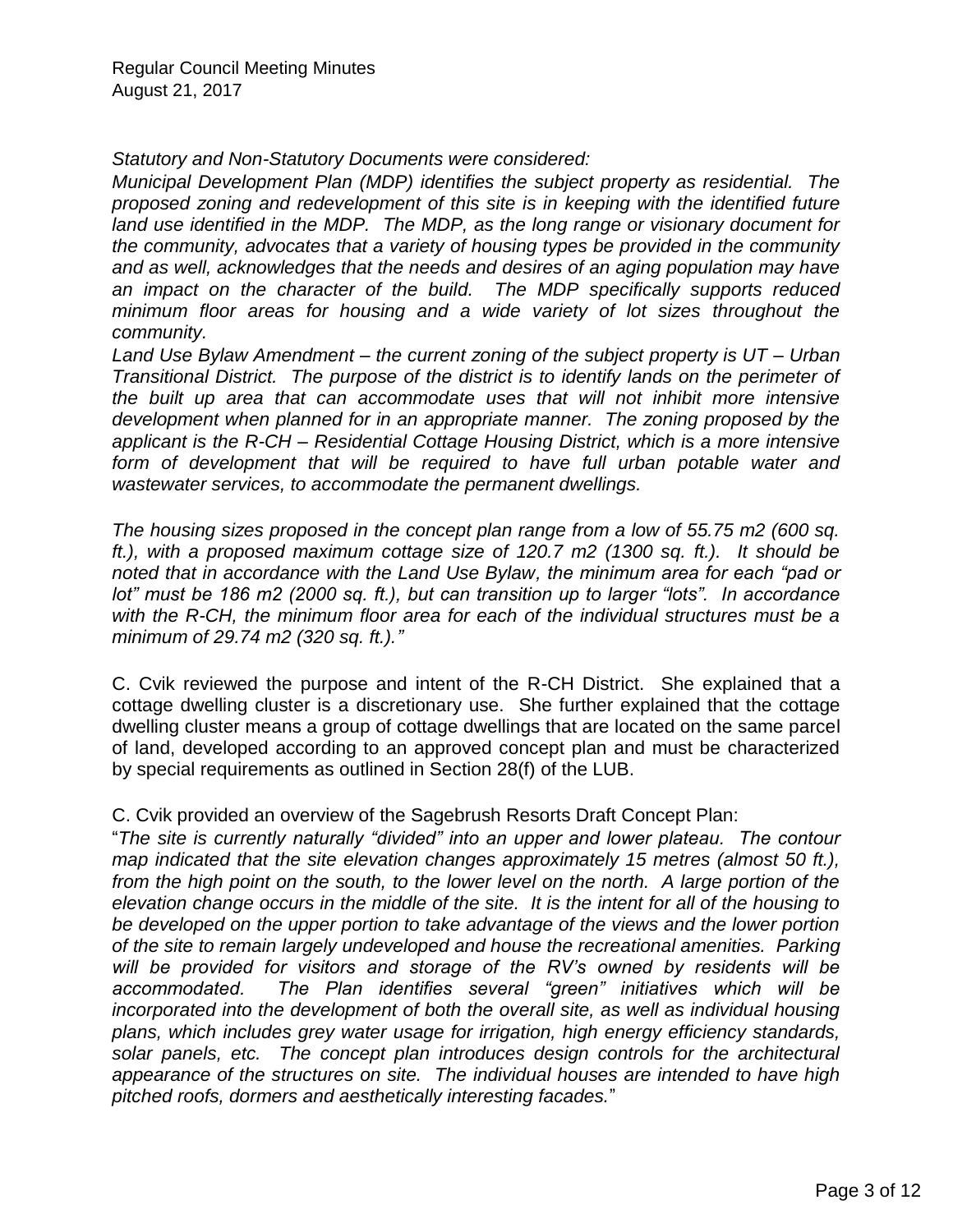*Statutory and Non-Statutory Documents were considered:* 

*Municipal Development Plan (MDP) identifies the subject property as residential. The proposed zoning and redevelopment of this site is in keeping with the identified future*  land use identified in the MDP. The MDP, as the long range or visionary document for *the community, advocates that a variety of housing types be provided in the community and as well, acknowledges that the needs and desires of an aging population may have an impact on the character of the build. The MDP specifically supports reduced minimum floor areas for housing and a wide variety of lot sizes throughout the community.*

*Land Use Bylaw Amendment – the current zoning of the subject property is UT – Urban Transitional District. The purpose of the district is to identify lands on the perimeter of the built up area that can accommodate uses that will not inhibit more intensive development when planned for in an appropriate manner. The zoning proposed by the applicant is the R-CH – Residential Cottage Housing District, which is a more intensive*  form of development that will be required to have full urban potable water and *wastewater services, to accommodate the permanent dwellings.* 

*The housing sizes proposed in the concept plan range from a low of 55.75 m2 (600 sq. ft.), with a proposed maximum cottage size of 120.7 m2 (1300 sq. ft.). It should be noted that in accordance with the Land Use Bylaw, the minimum area for each "pad or lot" must be 186 m2 (2000 sq. ft.), but can transition up to larger "lots". In accordance with the R-CH, the minimum floor area for each of the individual structures must be a minimum of 29.74 m2 (320 sq. ft.)."* 

C. Cvik reviewed the purpose and intent of the R-CH District. She explained that a cottage dwelling cluster is a discretionary use. She further explained that the cottage dwelling cluster means a group of cottage dwellings that are located on the same parcel of land, developed according to an approved concept plan and must be characterized by special requirements as outlined in Section 28(f) of the LUB.

C. Cvik provided an overview of the Sagebrush Resorts Draft Concept Plan:

"*The site is currently naturally "divided" into an upper and lower plateau. The contour map indicated that the site elevation changes approximately 15 metres (almost 50 ft.), from the high point on the south, to the lower level on the north. A large portion of the elevation change occurs in the middle of the site. It is the intent for all of the housing to be developed on the upper portion to take advantage of the views and the lower portion of the site to remain largely undeveloped and house the recreational amenities. Parking will be provided for visitors and storage of the RV's owned by residents will be accommodated. The Plan identifies several "green" initiatives which will be incorporated into the development of both the overall site, as well as individual housing plans, which includes grey water usage for irrigation, high energy efficiency standards, solar panels, etc. The concept plan introduces design controls for the architectural appearance of the structures on site. The individual houses are intended to have high pitched roofs, dormers and aesthetically interesting facades.*"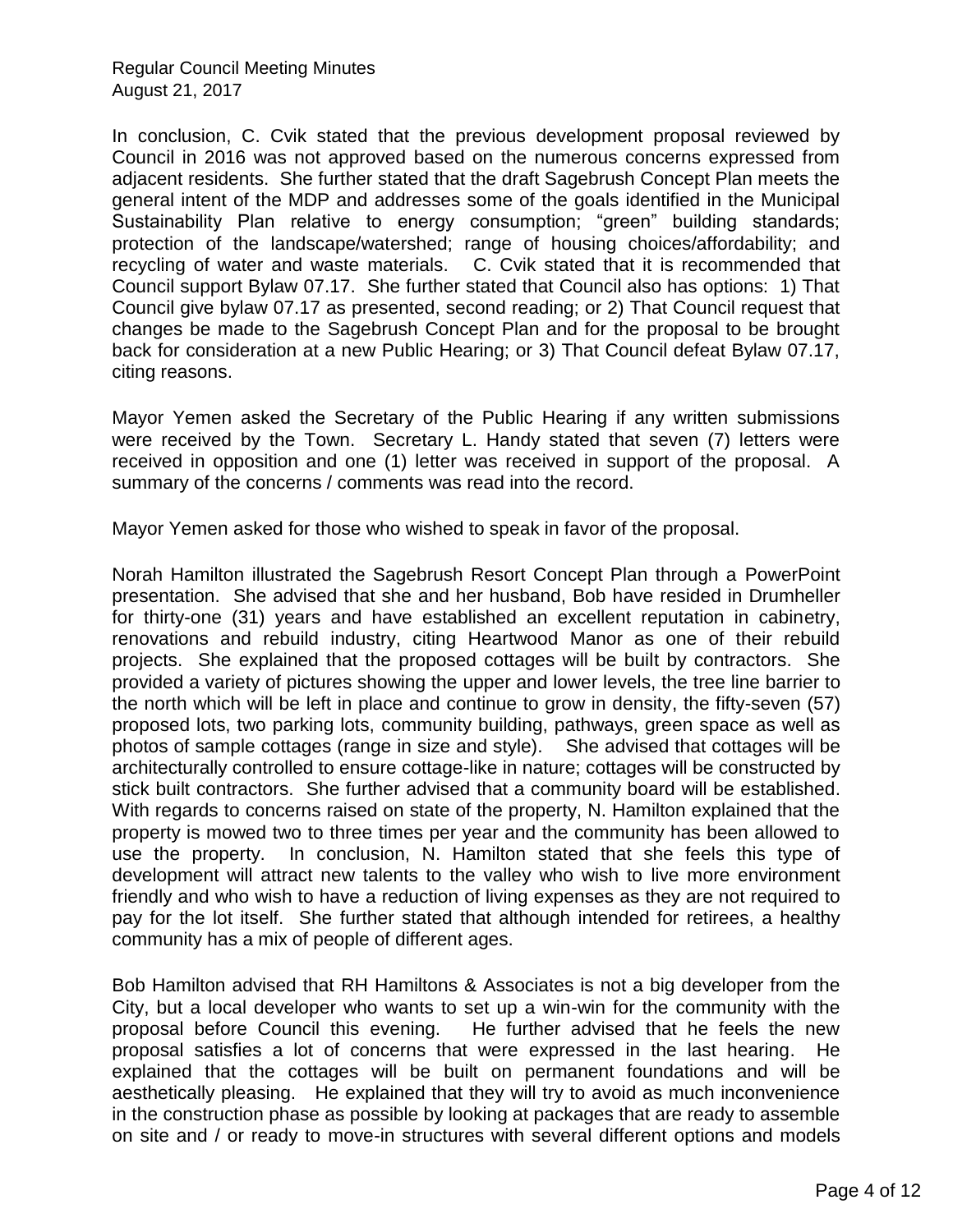In conclusion, C. Cvik stated that the previous development proposal reviewed by Council in 2016 was not approved based on the numerous concerns expressed from adjacent residents. She further stated that the draft Sagebrush Concept Plan meets the general intent of the MDP and addresses some of the goals identified in the Municipal Sustainability Plan relative to energy consumption; "green" building standards; protection of the landscape/watershed; range of housing choices/affordability; and recycling of water and waste materials. C. Cvik stated that it is recommended that Council support Bylaw 07.17. She further stated that Council also has options: 1) That Council give bylaw 07.17 as presented, second reading; or 2) That Council request that changes be made to the Sagebrush Concept Plan and for the proposal to be brought back for consideration at a new Public Hearing; or 3) That Council defeat Bylaw 07.17, citing reasons.

Mayor Yemen asked the Secretary of the Public Hearing if any written submissions were received by the Town. Secretary L. Handy stated that seven (7) letters were received in opposition and one (1) letter was received in support of the proposal. A summary of the concerns / comments was read into the record.

Mayor Yemen asked for those who wished to speak in favor of the proposal.

Norah Hamilton illustrated the Sagebrush Resort Concept Plan through a PowerPoint presentation. She advised that she and her husband, Bob have resided in Drumheller for thirty-one (31) years and have established an excellent reputation in cabinetry, renovations and rebuild industry, citing Heartwood Manor as one of their rebuild projects. She explained that the proposed cottages will be built by contractors. She provided a variety of pictures showing the upper and lower levels, the tree line barrier to the north which will be left in place and continue to grow in density, the fifty-seven (57) proposed lots, two parking lots, community building, pathways, green space as well as photos of sample cottages (range in size and style). She advised that cottages will be architecturally controlled to ensure cottage-like in nature; cottages will be constructed by stick built contractors. She further advised that a community board will be established. With regards to concerns raised on state of the property, N. Hamilton explained that the property is mowed two to three times per year and the community has been allowed to use the property. In conclusion, N. Hamilton stated that she feels this type of development will attract new talents to the valley who wish to live more environment friendly and who wish to have a reduction of living expenses as they are not required to pay for the lot itself. She further stated that although intended for retirees, a healthy community has a mix of people of different ages.

Bob Hamilton advised that RH Hamiltons & Associates is not a big developer from the City, but a local developer who wants to set up a win-win for the community with the proposal before Council this evening. He further advised that he feels the new proposal satisfies a lot of concerns that were expressed in the last hearing. He explained that the cottages will be built on permanent foundations and will be aesthetically pleasing. He explained that they will try to avoid as much inconvenience in the construction phase as possible by looking at packages that are ready to assemble on site and / or ready to move-in structures with several different options and models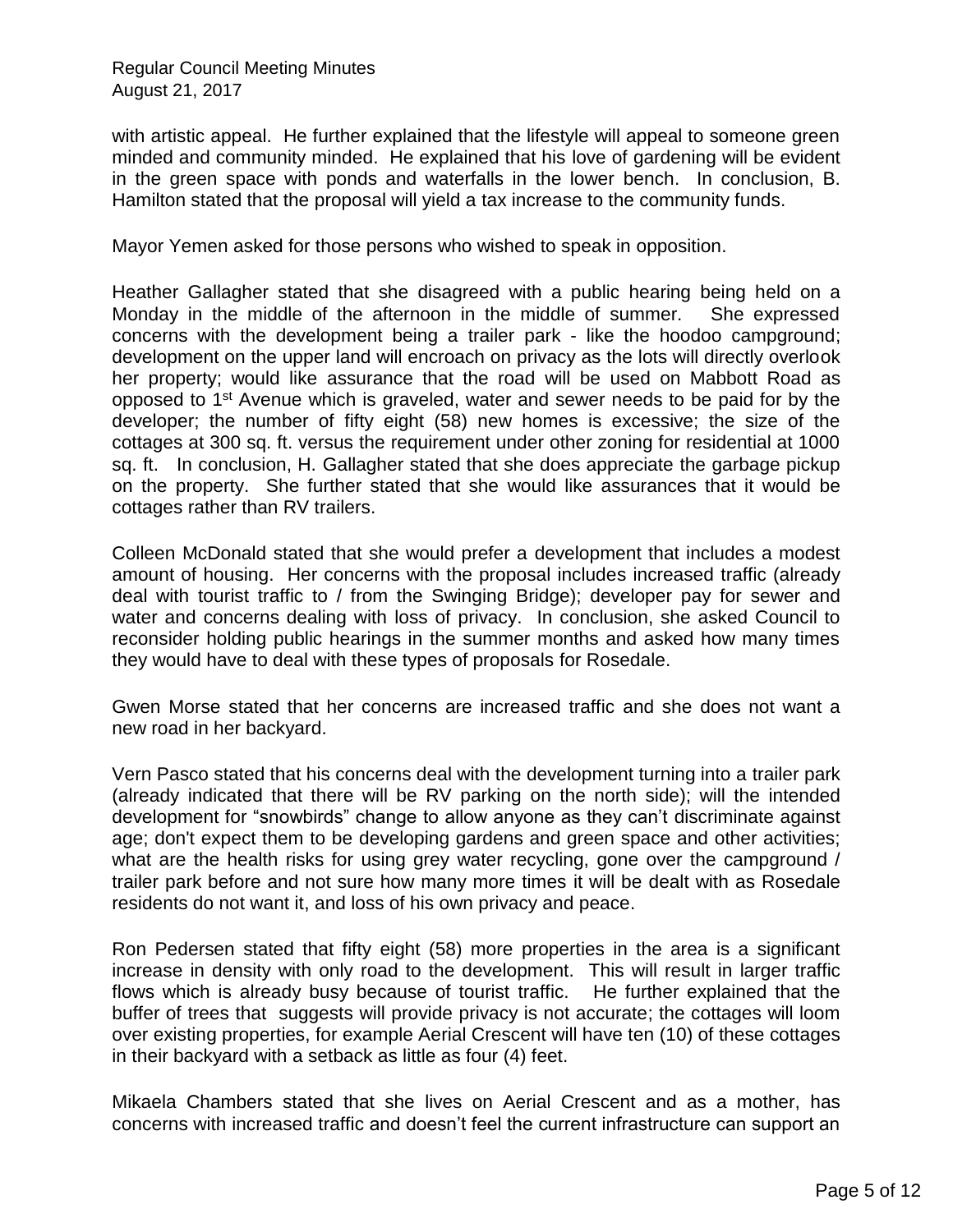with artistic appeal. He further explained that the lifestyle will appeal to someone green minded and community minded. He explained that his love of gardening will be evident in the green space with ponds and waterfalls in the lower bench. In conclusion, B. Hamilton stated that the proposal will yield a tax increase to the community funds.

Mayor Yemen asked for those persons who wished to speak in opposition.

Heather Gallagher stated that she disagreed with a public hearing being held on a Monday in the middle of the afternoon in the middle of summer. She expressed concerns with the development being a trailer park - like the hoodoo campground; development on the upper land will encroach on privacy as the lots will directly overlook her property; would like assurance that the road will be used on Mabbott Road as opposed to 1<sup>st</sup> Avenue which is graveled, water and sewer needs to be paid for by the developer; the number of fifty eight (58) new homes is excessive; the size of the cottages at 300 sq. ft. versus the requirement under other zoning for residential at 1000 sq. ft. In conclusion, H. Gallagher stated that she does appreciate the garbage pickup on the property. She further stated that she would like assurances that it would be cottages rather than RV trailers.

Colleen McDonald stated that she would prefer a development that includes a modest amount of housing. Her concerns with the proposal includes increased traffic (already deal with tourist traffic to / from the Swinging Bridge); developer pay for sewer and water and concerns dealing with loss of privacy. In conclusion, she asked Council to reconsider holding public hearings in the summer months and asked how many times they would have to deal with these types of proposals for Rosedale.

Gwen Morse stated that her concerns are increased traffic and she does not want a new road in her backyard.

Vern Pasco stated that his concerns deal with the development turning into a trailer park (already indicated that there will be RV parking on the north side); will the intended development for "snowbirds" change to allow anyone as they can't discriminate against age; don't expect them to be developing gardens and green space and other activities; what are the health risks for using grey water recycling, gone over the campground / trailer park before and not sure how many more times it will be dealt with as Rosedale residents do not want it, and loss of his own privacy and peace.

Ron Pedersen stated that fifty eight (58) more properties in the area is a significant increase in density with only road to the development. This will result in larger traffic flows which is already busy because of tourist traffic. He further explained that the buffer of trees that suggests will provide privacy is not accurate; the cottages will loom over existing properties, for example Aerial Crescent will have ten (10) of these cottages in their backyard with a setback as little as four (4) feet.

Mikaela Chambers stated that she lives on Aerial Crescent and as a mother, has concerns with increased traffic and doesn't feel the current infrastructure can support an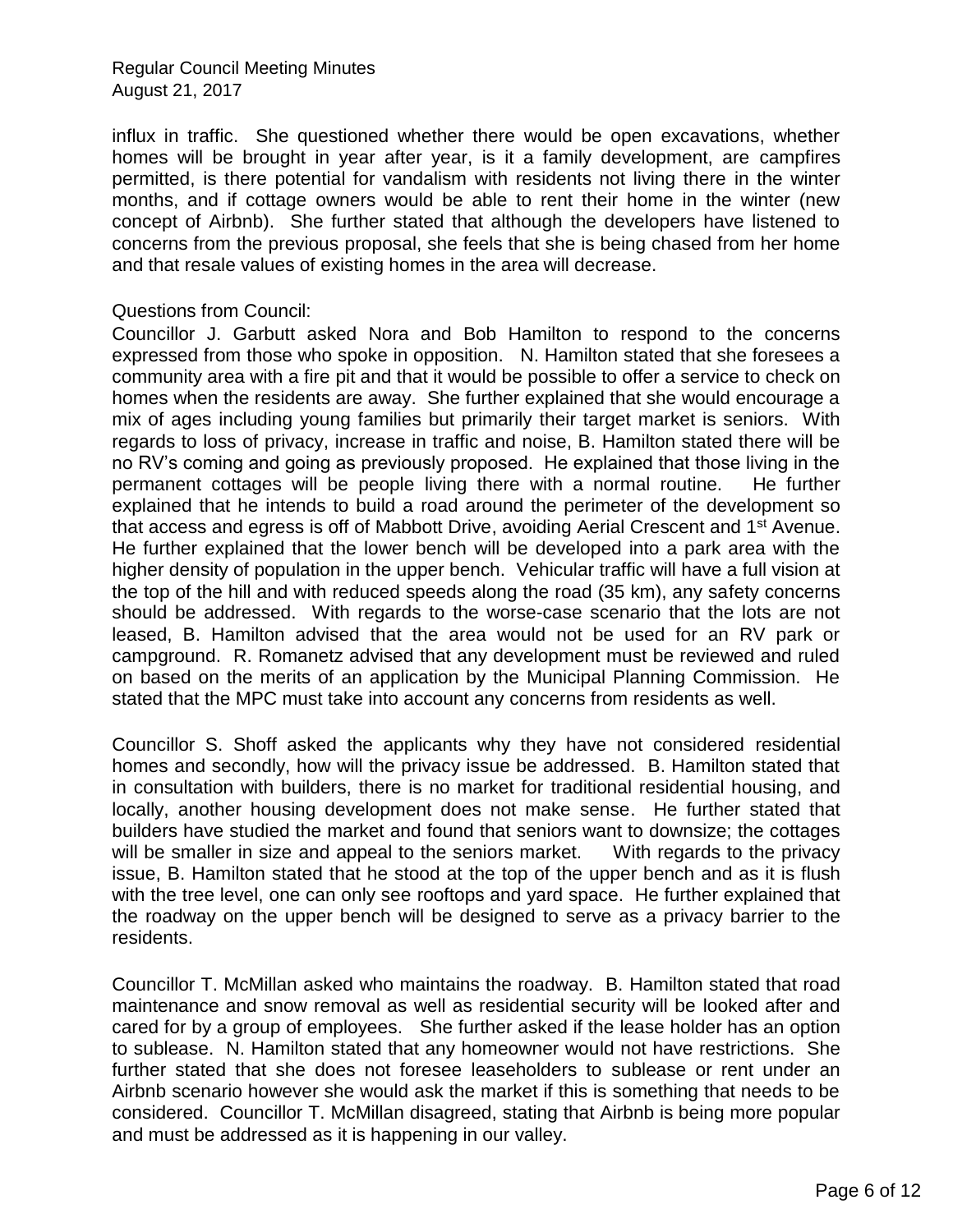influx in traffic. She questioned whether there would be open excavations, whether homes will be brought in year after year, is it a family development, are campfires permitted, is there potential for vandalism with residents not living there in the winter months, and if cottage owners would be able to rent their home in the winter (new concept of Airbnb). She further stated that although the developers have listened to concerns from the previous proposal, she feels that she is being chased from her home and that resale values of existing homes in the area will decrease.

#### Questions from Council:

Councillor J. Garbutt asked Nora and Bob Hamilton to respond to the concerns expressed from those who spoke in opposition. N. Hamilton stated that she foresees a community area with a fire pit and that it would be possible to offer a service to check on homes when the residents are away. She further explained that she would encourage a mix of ages including young families but primarily their target market is seniors. With regards to loss of privacy, increase in traffic and noise, B. Hamilton stated there will be no RV's coming and going as previously proposed. He explained that those living in the permanent cottages will be people living there with a normal routine. He further explained that he intends to build a road around the perimeter of the development so that access and egress is off of Mabbott Drive, avoiding Aerial Crescent and 1st Avenue. He further explained that the lower bench will be developed into a park area with the higher density of population in the upper bench. Vehicular traffic will have a full vision at the top of the hill and with reduced speeds along the road (35 km), any safety concerns should be addressed. With regards to the worse-case scenario that the lots are not leased, B. Hamilton advised that the area would not be used for an RV park or campground. R. Romanetz advised that any development must be reviewed and ruled on based on the merits of an application by the Municipal Planning Commission. He stated that the MPC must take into account any concerns from residents as well.

Councillor S. Shoff asked the applicants why they have not considered residential homes and secondly, how will the privacy issue be addressed. B. Hamilton stated that in consultation with builders, there is no market for traditional residential housing, and locally, another housing development does not make sense. He further stated that builders have studied the market and found that seniors want to downsize; the cottages will be smaller in size and appeal to the seniors market. With regards to the privacy issue, B. Hamilton stated that he stood at the top of the upper bench and as it is flush with the tree level, one can only see rooftops and yard space. He further explained that the roadway on the upper bench will be designed to serve as a privacy barrier to the residents.

Councillor T. McMillan asked who maintains the roadway. B. Hamilton stated that road maintenance and snow removal as well as residential security will be looked after and cared for by a group of employees. She further asked if the lease holder has an option to sublease. N. Hamilton stated that any homeowner would not have restrictions. She further stated that she does not foresee leaseholders to sublease or rent under an Airbnb scenario however she would ask the market if this is something that needs to be considered. Councillor T. McMillan disagreed, stating that Airbnb is being more popular and must be addressed as it is happening in our valley.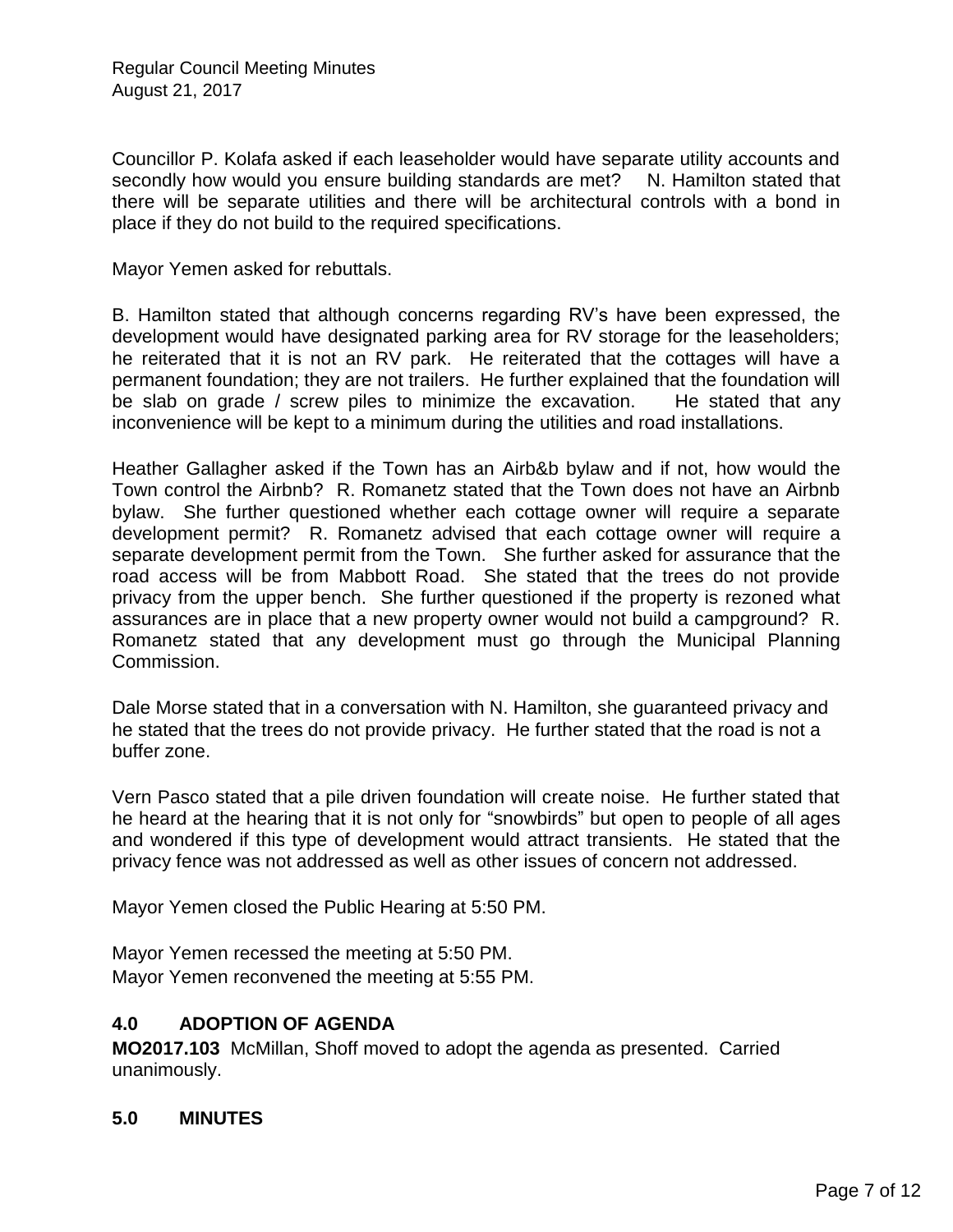Councillor P. Kolafa asked if each leaseholder would have separate utility accounts and secondly how would you ensure building standards are met? N. Hamilton stated that there will be separate utilities and there will be architectural controls with a bond in place if they do not build to the required specifications.

Mayor Yemen asked for rebuttals.

B. Hamilton stated that although concerns regarding RV's have been expressed, the development would have designated parking area for RV storage for the leaseholders; he reiterated that it is not an RV park. He reiterated that the cottages will have a permanent foundation; they are not trailers. He further explained that the foundation will be slab on grade / screw piles to minimize the excavation. He stated that any inconvenience will be kept to a minimum during the utilities and road installations.

Heather Gallagher asked if the Town has an Airb&b bylaw and if not, how would the Town control the Airbnb? R. Romanetz stated that the Town does not have an Airbnb bylaw. She further questioned whether each cottage owner will require a separate development permit? R. Romanetz advised that each cottage owner will require a separate development permit from the Town. She further asked for assurance that the road access will be from Mabbott Road. She stated that the trees do not provide privacy from the upper bench. She further questioned if the property is rezoned what assurances are in place that a new property owner would not build a campground? R. Romanetz stated that any development must go through the Municipal Planning Commission.

Dale Morse stated that in a conversation with N. Hamilton, she guaranteed privacy and he stated that the trees do not provide privacy. He further stated that the road is not a buffer zone.

Vern Pasco stated that a pile driven foundation will create noise. He further stated that he heard at the hearing that it is not only for "snowbirds" but open to people of all ages and wondered if this type of development would attract transients. He stated that the privacy fence was not addressed as well as other issues of concern not addressed.

Mayor Yemen closed the Public Hearing at 5:50 PM.

Mayor Yemen recessed the meeting at 5:50 PM. Mayor Yemen reconvened the meeting at 5:55 PM.

### **4.0 ADOPTION OF AGENDA**

**MO2017.103** McMillan, Shoff moved to adopt the agenda as presented. Carried unanimously.

### **5.0 MINUTES**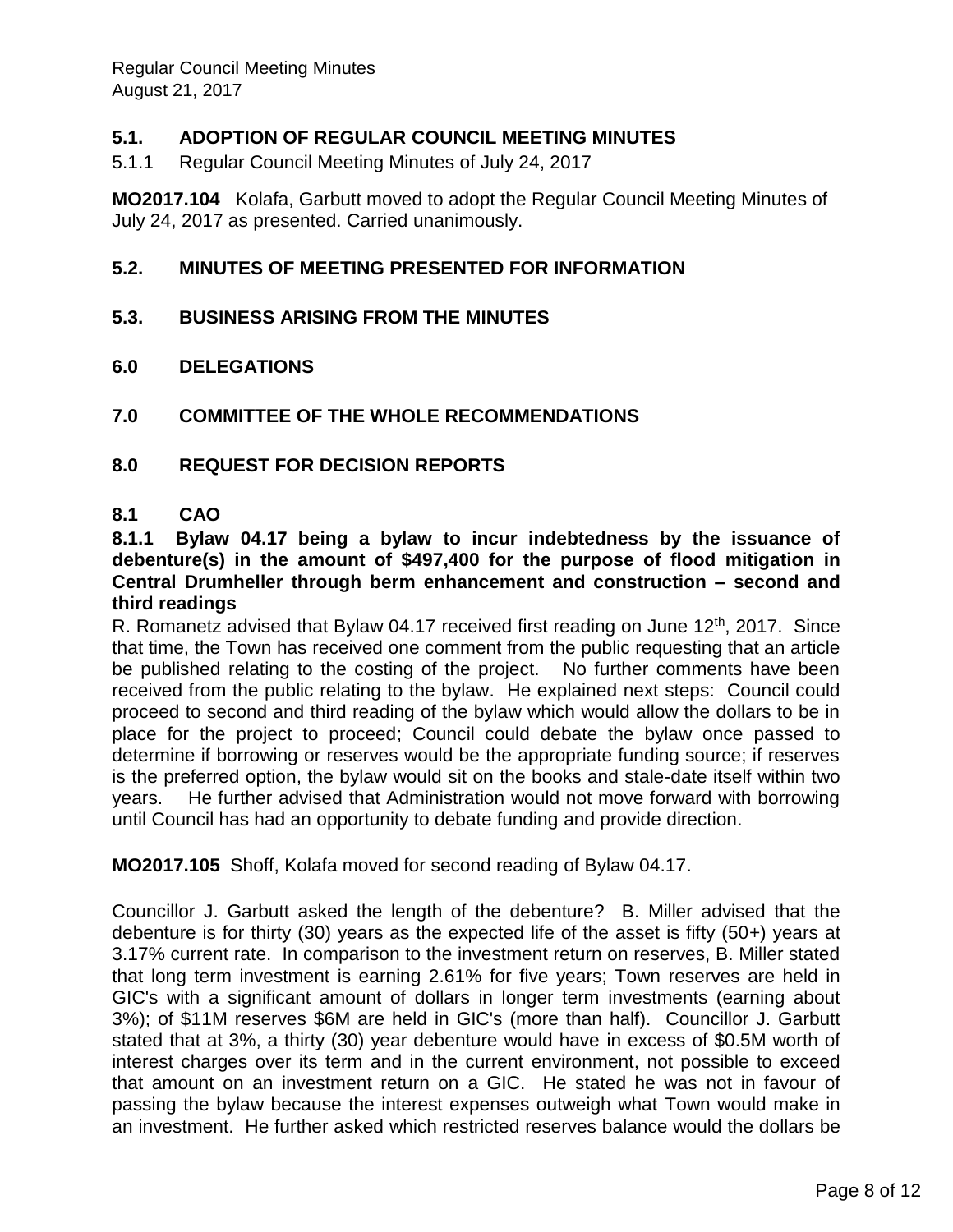# **5.1. ADOPTION OF REGULAR COUNCIL MEETING MINUTES**

5.1.1 Regular Council Meeting Minutes of July 24, 2017

**MO2017.104** Kolafa, Garbutt moved to adopt the Regular Council Meeting Minutes of July 24, 2017 as presented. Carried unanimously.

### **5.2. MINUTES OF MEETING PRESENTED FOR INFORMATION**

- **5.3. BUSINESS ARISING FROM THE MINUTES**
- **6.0 DELEGATIONS**
- **7.0 COMMITTEE OF THE WHOLE RECOMMENDATIONS**
- **8.0 REQUEST FOR DECISION REPORTS**

#### **8.1 CAO**

#### **8.1.1 Bylaw 04.17 being a bylaw to incur indebtedness by the issuance of debenture(s) in the amount of \$497,400 for the purpose of flood mitigation in Central Drumheller through berm enhancement and construction – second and third readings**

R. Romanetz advised that Bylaw 04.17 received first reading on June 12<sup>th</sup>, 2017. Since that time, the Town has received one comment from the public requesting that an article be published relating to the costing of the project. No further comments have been received from the public relating to the bylaw. He explained next steps: Council could proceed to second and third reading of the bylaw which would allow the dollars to be in place for the project to proceed; Council could debate the bylaw once passed to determine if borrowing or reserves would be the appropriate funding source; if reserves is the preferred option, the bylaw would sit on the books and stale-date itself within two years. He further advised that Administration would not move forward with borrowing until Council has had an opportunity to debate funding and provide direction.

**MO2017.105** Shoff, Kolafa moved for second reading of Bylaw 04.17.

Councillor J. Garbutt asked the length of the debenture? B. Miller advised that the debenture is for thirty (30) years as the expected life of the asset is fifty (50+) years at 3.17% current rate. In comparison to the investment return on reserves, B. Miller stated that long term investment is earning 2.61% for five years; Town reserves are held in GIC's with a significant amount of dollars in longer term investments (earning about 3%); of \$11M reserves \$6M are held in GIC's (more than half). Councillor J. Garbutt stated that at 3%, a thirty (30) year debenture would have in excess of \$0.5M worth of interest charges over its term and in the current environment, not possible to exceed that amount on an investment return on a GIC. He stated he was not in favour of passing the bylaw because the interest expenses outweigh what Town would make in an investment. He further asked which restricted reserves balance would the dollars be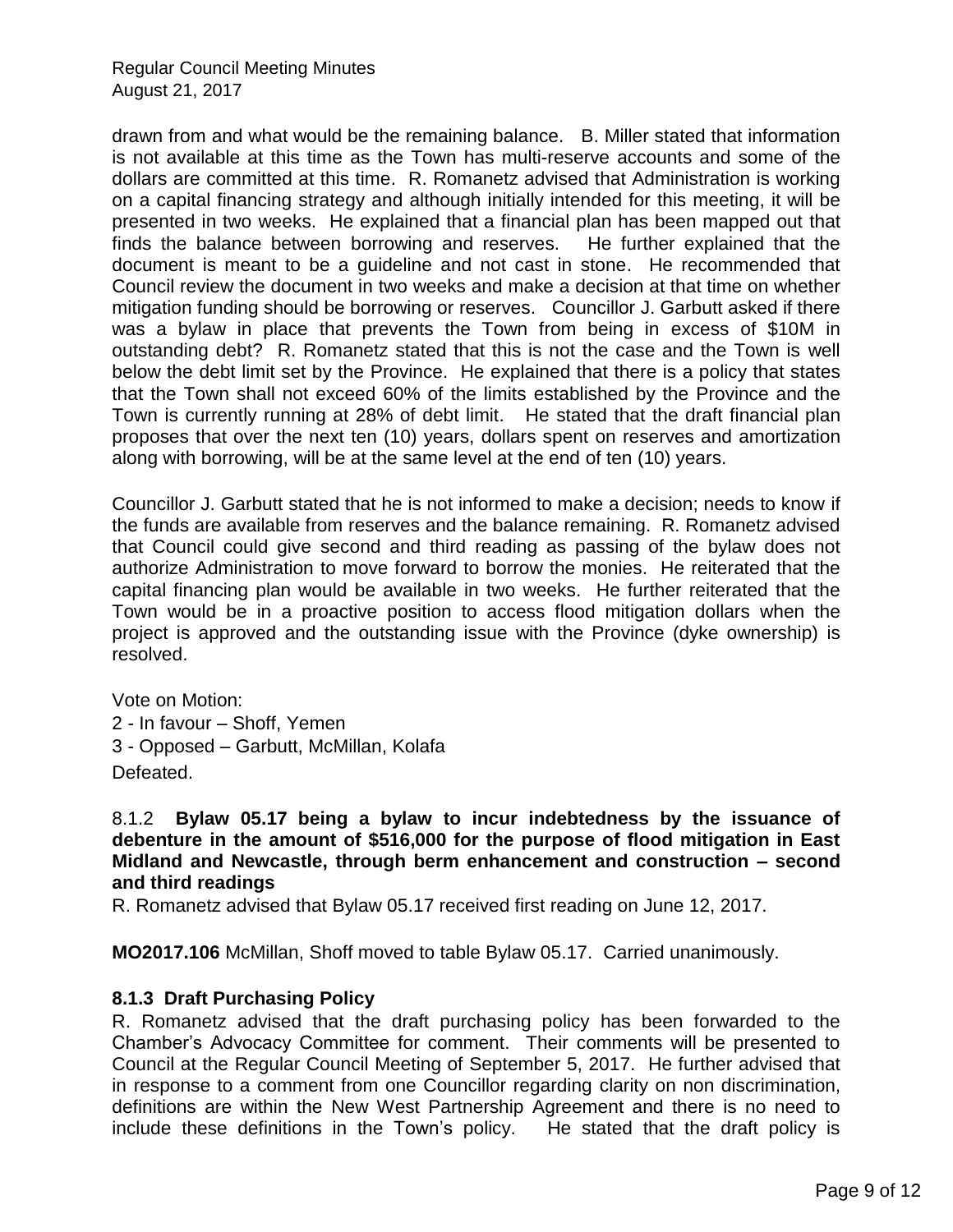drawn from and what would be the remaining balance. B. Miller stated that information is not available at this time as the Town has multi-reserve accounts and some of the dollars are committed at this time. R. Romanetz advised that Administration is working on a capital financing strategy and although initially intended for this meeting, it will be presented in two weeks. He explained that a financial plan has been mapped out that finds the balance between borrowing and reserves. He further explained that the document is meant to be a guideline and not cast in stone. He recommended that Council review the document in two weeks and make a decision at that time on whether mitigation funding should be borrowing or reserves. Councillor J. Garbutt asked if there was a bylaw in place that prevents the Town from being in excess of \$10M in outstanding debt? R. Romanetz stated that this is not the case and the Town is well below the debt limit set by the Province. He explained that there is a policy that states that the Town shall not exceed 60% of the limits established by the Province and the Town is currently running at 28% of debt limit. He stated that the draft financial plan proposes that over the next ten (10) years, dollars spent on reserves and amortization along with borrowing, will be at the same level at the end of ten (10) years.

Councillor J. Garbutt stated that he is not informed to make a decision; needs to know if the funds are available from reserves and the balance remaining. R. Romanetz advised that Council could give second and third reading as passing of the bylaw does not authorize Administration to move forward to borrow the monies. He reiterated that the capital financing plan would be available in two weeks. He further reiterated that the Town would be in a proactive position to access flood mitigation dollars when the project is approved and the outstanding issue with the Province (dyke ownership) is resolved.

Vote on Motion: 2 - In favour – Shoff, Yemen 3 - Opposed – Garbutt, McMillan, Kolafa Defeated.

8.1.2 **Bylaw 05.17 being a bylaw to incur indebtedness by the issuance of debenture in the amount of \$516,000 for the purpose of flood mitigation in East Midland and Newcastle, through berm enhancement and construction – second and third readings**

R. Romanetz advised that Bylaw 05.17 received first reading on June 12, 2017.

**MO2017.106** McMillan, Shoff moved to table Bylaw 05.17. Carried unanimously.

### **8.1.3 Draft Purchasing Policy**

R. Romanetz advised that the draft purchasing policy has been forwarded to the Chamber's Advocacy Committee for comment. Their comments will be presented to Council at the Regular Council Meeting of September 5, 2017. He further advised that in response to a comment from one Councillor regarding clarity on non discrimination, definitions are within the New West Partnership Agreement and there is no need to include these definitions in the Town's policy. He stated that the draft policy is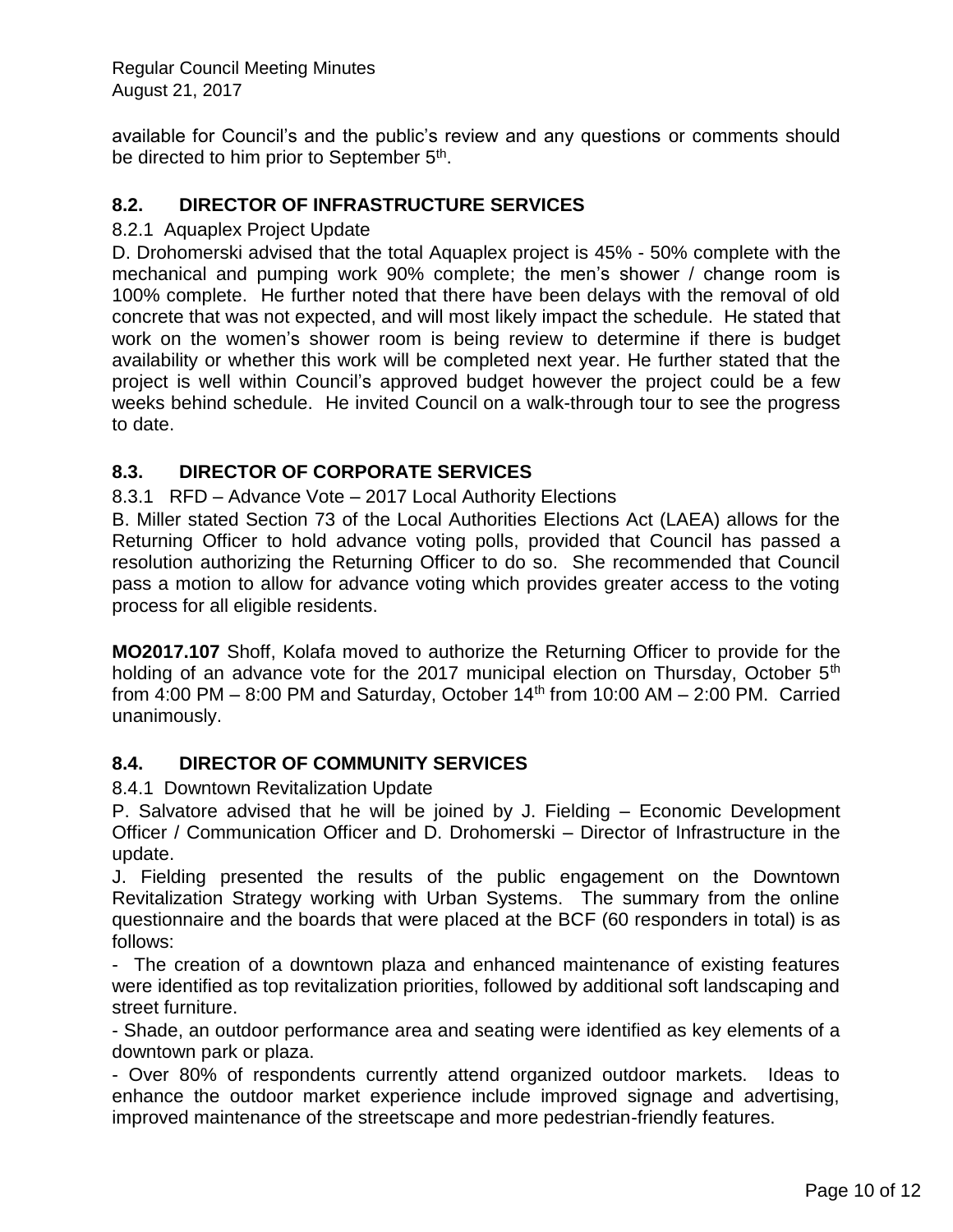available for Council's and the public's review and any questions or comments should be directed to him prior to September 5<sup>th</sup>.

# **8.2. DIRECTOR OF INFRASTRUCTURE SERVICES**

#### 8.2.1 Aquaplex Project Update

D. Drohomerski advised that the total Aquaplex project is 45% - 50% complete with the mechanical and pumping work 90% complete; the men's shower / change room is 100% complete. He further noted that there have been delays with the removal of old concrete that was not expected, and will most likely impact the schedule. He stated that work on the women's shower room is being review to determine if there is budget availability or whether this work will be completed next year. He further stated that the project is well within Council's approved budget however the project could be a few weeks behind schedule. He invited Council on a walk-through tour to see the progress to date.

# **8.3. DIRECTOR OF CORPORATE SERVICES**

8.3.1 RFD – Advance Vote – 2017 Local Authority Elections

B. Miller stated Section 73 of the Local Authorities Elections Act (LAEA) allows for the Returning Officer to hold advance voting polls, provided that Council has passed a resolution authorizing the Returning Officer to do so. She recommended that Council pass a motion to allow for advance voting which provides greater access to the voting process for all eligible residents.

**MO2017.107** Shoff, Kolafa moved to authorize the Returning Officer to provide for the holding of an advance vote for the 2017 municipal election on Thursday, October 5<sup>th</sup> from  $4:00 \text{ PM} - 8:00 \text{ PM}$  and Saturday, October  $14^{\text{th}}$  from 10:00 AM  $- 2:00 \text{ PM}$ . Carried unanimously.

### **8.4. DIRECTOR OF COMMUNITY SERVICES**

8.4.1 Downtown Revitalization Update

P. Salvatore advised that he will be joined by J. Fielding – Economic Development Officer / Communication Officer and D. Drohomerski – Director of Infrastructure in the update.

J. Fielding presented the results of the public engagement on the Downtown Revitalization Strategy working with Urban Systems. The summary from the online questionnaire and the boards that were placed at the BCF (60 responders in total) is as follows:

- The creation of a downtown plaza and enhanced maintenance of existing features were identified as top revitalization priorities, followed by additional soft landscaping and street furniture.

- Shade, an outdoor performance area and seating were identified as key elements of a downtown park or plaza.

- Over 80% of respondents currently attend organized outdoor markets. Ideas to enhance the outdoor market experience include improved signage and advertising, improved maintenance of the streetscape and more pedestrian-friendly features.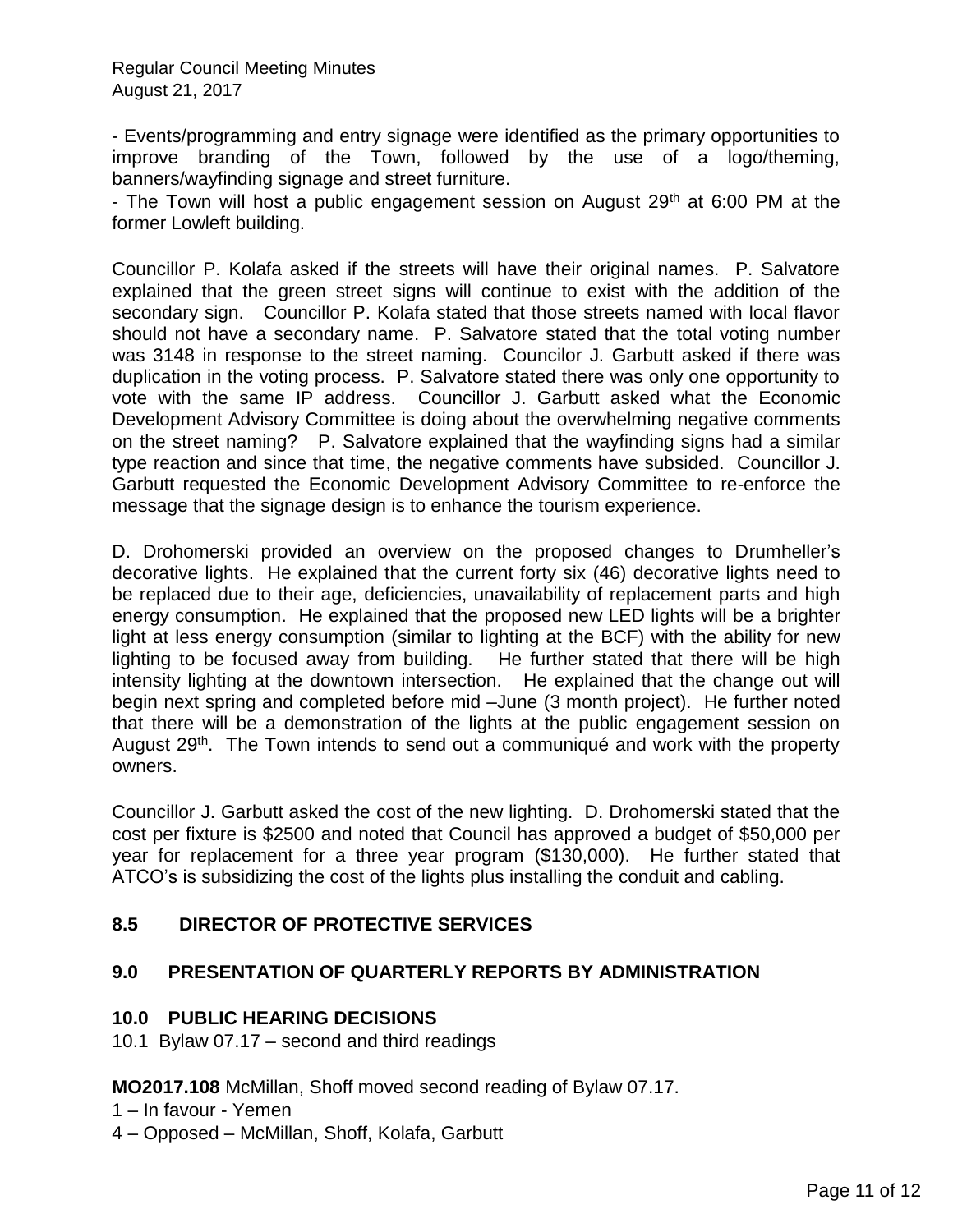- Events/programming and entry signage were identified as the primary opportunities to improve branding of the Town, followed by the use of a logo/theming, banners/wayfinding signage and street furniture.

- The Town will host a public engagement session on August  $29<sup>th</sup>$  at 6:00 PM at the former Lowleft building.

Councillor P. Kolafa asked if the streets will have their original names. P. Salvatore explained that the green street signs will continue to exist with the addition of the secondary sign. Councillor P. Kolafa stated that those streets named with local flavor should not have a secondary name. P. Salvatore stated that the total voting number was 3148 in response to the street naming. Councilor J. Garbutt asked if there was duplication in the voting process. P. Salvatore stated there was only one opportunity to vote with the same IP address. Councillor J. Garbutt asked what the Economic Development Advisory Committee is doing about the overwhelming negative comments on the street naming? P. Salvatore explained that the wayfinding signs had a similar type reaction and since that time, the negative comments have subsided. Councillor J. Garbutt requested the Economic Development Advisory Committee to re-enforce the message that the signage design is to enhance the tourism experience.

D. Drohomerski provided an overview on the proposed changes to Drumheller's decorative lights. He explained that the current forty six (46) decorative lights need to be replaced due to their age, deficiencies, unavailability of replacement parts and high energy consumption. He explained that the proposed new LED lights will be a brighter light at less energy consumption (similar to lighting at the BCF) with the ability for new lighting to be focused away from building. He further stated that there will be high intensity lighting at the downtown intersection. He explained that the change out will begin next spring and completed before mid –June (3 month project). He further noted that there will be a demonstration of the lights at the public engagement session on August 29<sup>th</sup>. The Town intends to send out a communiqué and work with the property owners.

Councillor J. Garbutt asked the cost of the new lighting. D. Drohomerski stated that the cost per fixture is \$2500 and noted that Council has approved a budget of \$50,000 per year for replacement for a three year program (\$130,000). He further stated that ATCO's is subsidizing the cost of the lights plus installing the conduit and cabling.

### **8.5 DIRECTOR OF PROTECTIVE SERVICES**

### **9.0 PRESENTATION OF QUARTERLY REPORTS BY ADMINISTRATION**

### **10.0 PUBLIC HEARING DECISIONS**

10.1 Bylaw 07.17 – second and third readings

**MO2017.108** McMillan, Shoff moved second reading of Bylaw 07.17.

- 1 In favour Yemen
- 4 Opposed McMillan, Shoff, Kolafa, Garbutt